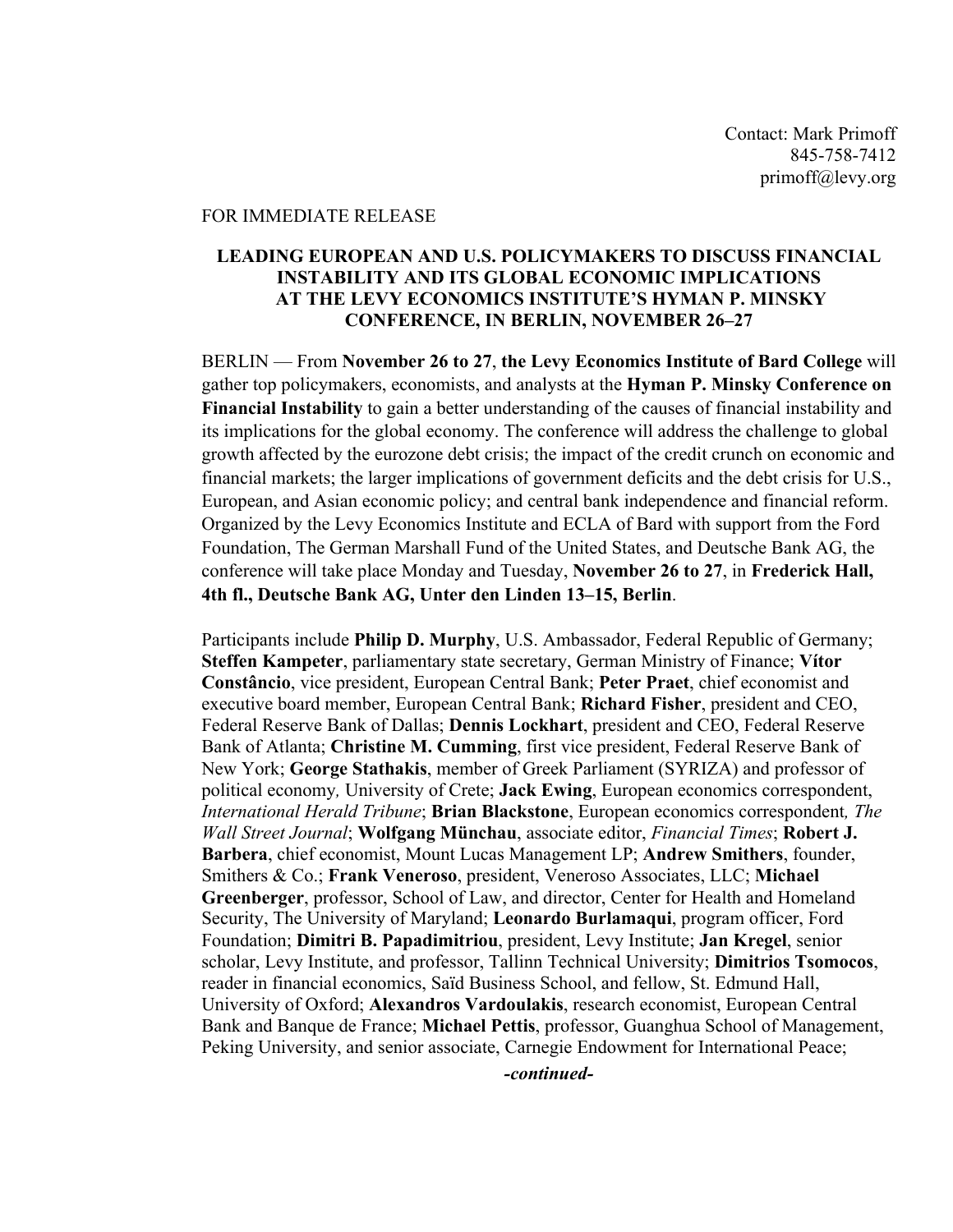## FOR IMMEDIATE RELEASE

## **LEADING EUROPEAN AND U.S. POLICYMAKERS TO DISCUSS FINANCIAL INSTABILITY AND ITS GLOBAL ECONOMIC IMPLICATIONS AT THE LEVY ECONOMICS INSTITUTE'S HYMAN P. MINSKY CONFERENCE, IN BERLIN, NOVEMBER 26–27**

BERLIN — From **November 26 to 27**, **the Levy Economics Institute of Bard College** will gather top policymakers, economists, and analysts at the **Hyman P. Minsky Conference on Financial Instability** to gain a better understanding of the causes of financial instability and its implications for the global economy. The conference will address the challenge to global growth affected by the eurozone debt crisis; the impact of the credit crunch on economic and financial markets; the larger implications of government deficits and the debt crisis for U.S., European, and Asian economic policy; and central bank independence and financial reform. Organized by the Levy Economics Institute and ECLA of Bard with support from the Ford Foundation, The German Marshall Fund of the United States, and Deutsche Bank AG, the conference will take place Monday and Tuesday, **November 26 to 27**, in **Frederick Hall, 4th fl., Deutsche Bank AG, Unter den Linden 13–15, Berlin**.

Participants include **Philip D. Murphy**, U.S. Ambassador, Federal Republic of Germany; **Steffen Kampeter**, parliamentary state secretary, German Ministry of Finance; **Vítor Constâncio**, vice president, European Central Bank; **Peter Praet**, chief economist and executive board member, European Central Bank; **Richard Fisher**, president and CEO, Federal Reserve Bank of Dallas; **Dennis Lockhart**, president and CEO, Federal Reserve Bank of Atlanta; **Christine M. Cumming**, first vice president, Federal Reserve Bank of New York; **George Stathakis**, member of Greek Parliament (SYRIZA) and professor of political economy*,* University of Crete; **Jack Ewing**, European economics correspondent, *International Herald Tribune*; **Brian Blackstone**, European economics correspondent*, The Wall Street Journal*; **Wolfgang Münchau**, associate editor, *Financial Times*; **Robert J. Barbera**, chief economist, Mount Lucas Management LP; **Andrew Smithers**, founder, Smithers & Co.; **Frank Veneroso**, president, Veneroso Associates, LLC; **Michael Greenberger**, professor, School of Law, and director, Center for Health and Homeland Security, The University of Maryland; **Leonardo Burlamaqui**, program officer, Ford Foundation; **Dimitri B. Papadimitriou**, president, Levy Institute; **Jan Kregel**, senior scholar, Levy Institute, and professor, Tallinn Technical University; **Dimitrios Tsomocos**, reader in financial economics, Saïd Business School, and fellow, St. Edmund Hall, University of Oxford; **Alexandros Vardoulakis**, research economist, European Central Bank and Banque de France; **Michael Pettis**, professor, Guanghua School of Management, Peking University, and senior associate, Carnegie Endowment for International Peace;

*-continued-*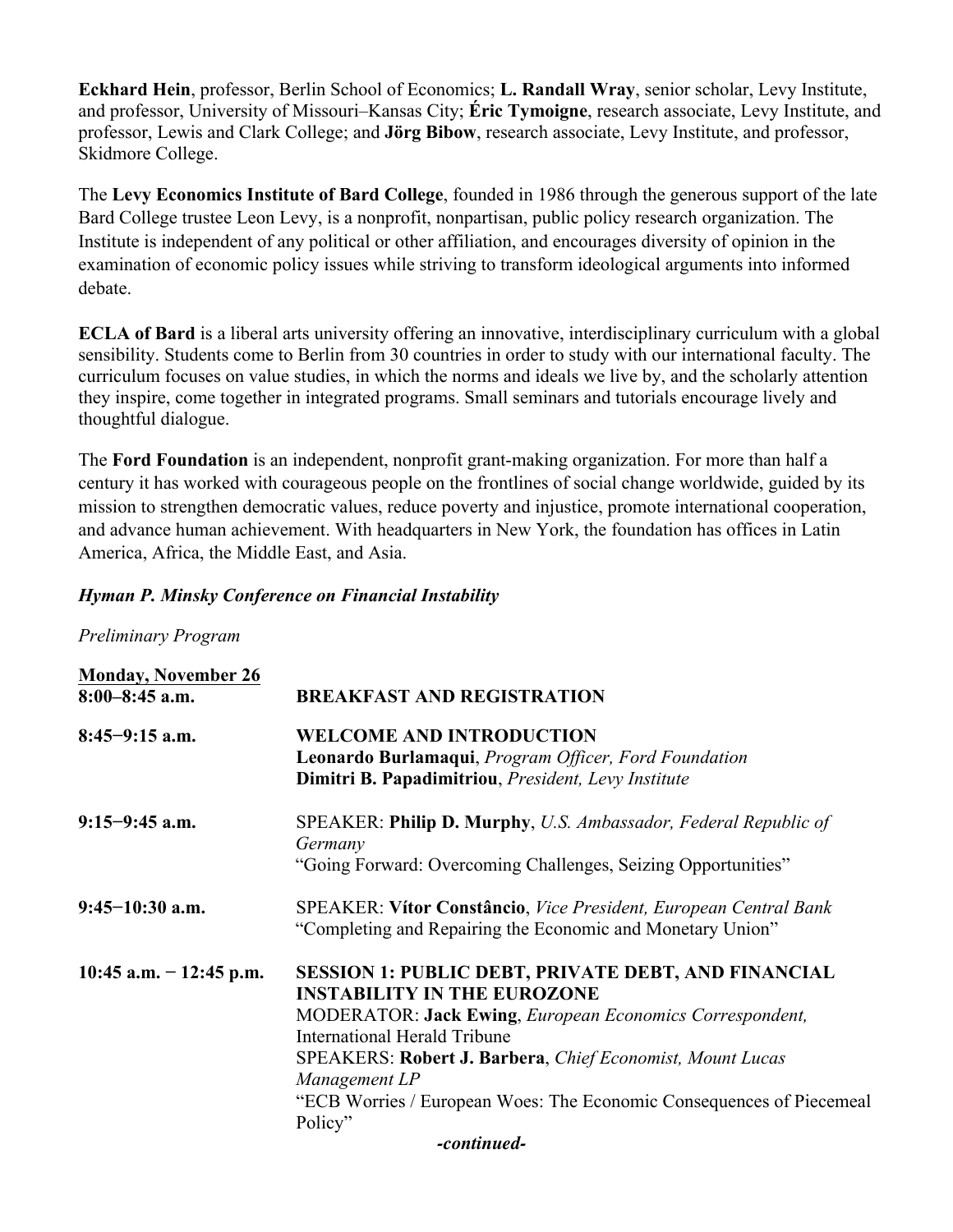**Eckhard Hein**, professor, Berlin School of Economics; **L. Randall Wray**, senior scholar, Levy Institute, and professor, University of Missouri–Kansas City; **Éric Tymoigne**, research associate, Levy Institute, and professor, Lewis and Clark College; and **Jörg Bibow**, research associate, Levy Institute, and professor, Skidmore College.

The **Levy Economics Institute of Bard College**, founded in 1986 through the generous support of the late Bard College trustee Leon Levy, is a nonprofit, nonpartisan, public policy research organization. The Institute is independent of any political or other affiliation, and encourages diversity of opinion in the examination of economic policy issues while striving to transform ideological arguments into informed debate.

**ECLA of Bard** is a liberal arts university offering an innovative, interdisciplinary curriculum with a global sensibility. Students come to Berlin from 30 countries in order to study with our international faculty. The curriculum focuses on value studies, in which the norms and ideals we live by, and the scholarly attention they inspire, come together in integrated programs. Small seminars and tutorials encourage lively and thoughtful dialogue.

The **Ford Foundation** is an independent, nonprofit grant-making organization. For more than half a century it has worked with courageous people on the frontlines of social change worldwide, guided by its mission to strengthen democratic values, reduce poverty and injustice, promote international cooperation, and advance human achievement. With headquarters in New York, the foundation has offices in Latin America, Africa, the Middle East, and Asia.

## *Hyman P. Minsky Conference on Financial Instability*

*Preliminary Program*

| <b>Monday, November 26</b><br>$8:00-8:45$ a.m. | <b>BREAKFAST AND REGISTRATION</b>                                                                                                                                                                                                                                                                                                                                                                 |
|------------------------------------------------|---------------------------------------------------------------------------------------------------------------------------------------------------------------------------------------------------------------------------------------------------------------------------------------------------------------------------------------------------------------------------------------------------|
| $8:45-9:15$ a.m.                               | <b>WELCOME AND INTRODUCTION</b><br><b>Leonardo Burlamaqui</b> , <i>Program Officer</i> , <i>Ford Foundation</i><br>Dimitri B. Papadimitriou, President, Levy Institute                                                                                                                                                                                                                            |
| $9:15-9:45$ a.m.                               | SPEAKER: Philip D. Murphy, U.S. Ambassador, Federal Republic of<br>Germany<br>"Going Forward: Overcoming Challenges, Seizing Opportunities"                                                                                                                                                                                                                                                       |
| $9:45-10:30$ a.m.                              | SPEAKER: Vítor Constâncio, Vice President, European Central Bank<br>"Completing and Repairing the Economic and Monetary Union"                                                                                                                                                                                                                                                                    |
| $10:45$ a.m. $-12:45$ p.m.                     | <b>SESSION 1: PUBLIC DEBT, PRIVATE DEBT, AND FINANCIAL</b><br><b>INSTABILITY IN THE EUROZONE</b><br><b>MODERATOR: Jack Ewing, European Economics Correspondent,</b><br><b>International Herald Tribune</b><br><b>SPEAKERS: Robert J. Barbera, Chief Economist, Mount Lucas</b><br>Management LP<br>"ECB Worries / European Woes: The Economic Consequences of Piecemeal<br>Policy"<br>-continued- |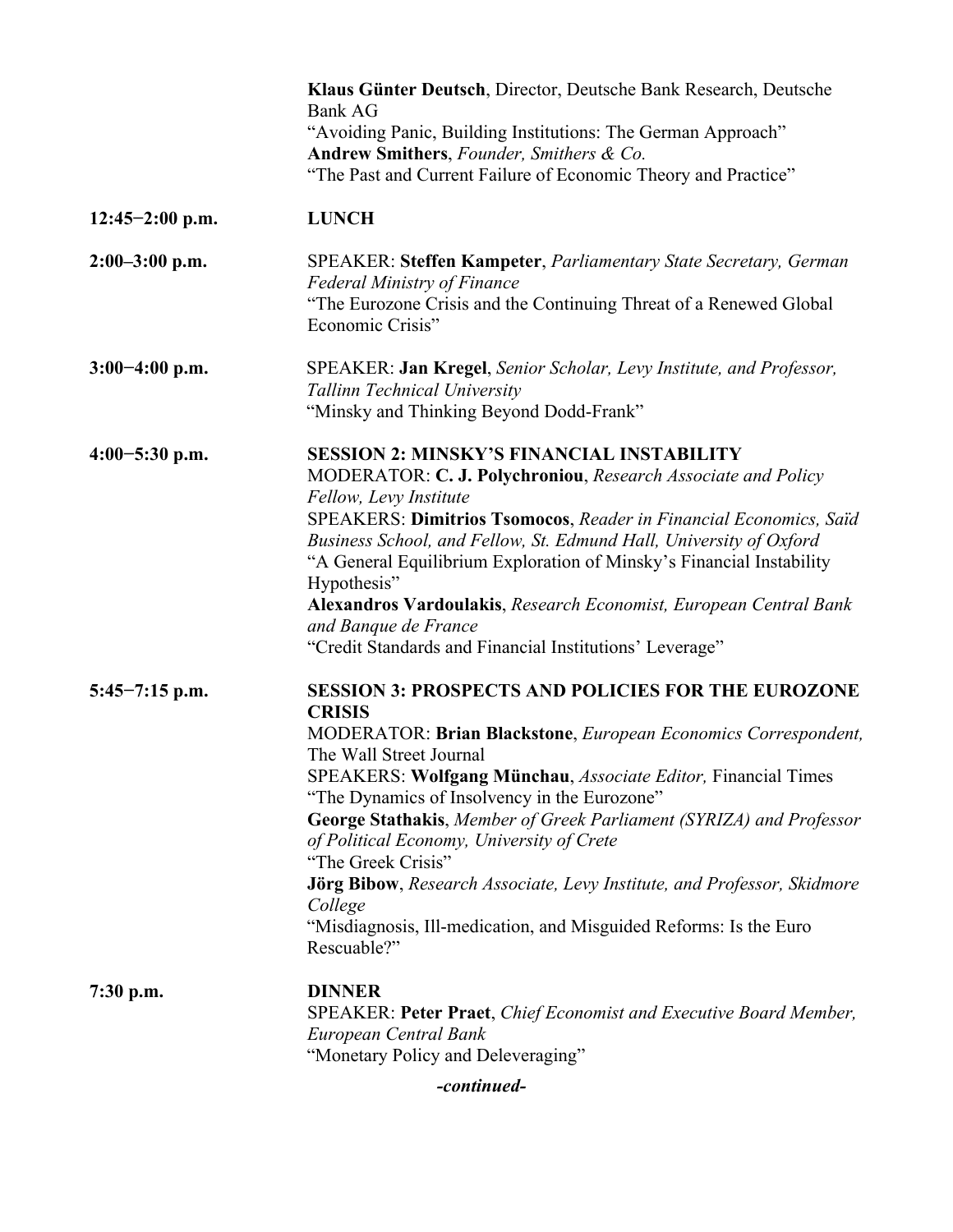|                   | Klaus Günter Deutsch, Director, Deutsche Bank Research, Deutsche<br><b>Bank AG</b><br>"Avoiding Panic, Building Institutions: The German Approach"<br>Andrew Smithers, Founder, Smithers & Co.<br>"The Past and Current Failure of Economic Theory and Practice"                                                                                                                                                                                                                                                                                                                                                     |
|-------------------|----------------------------------------------------------------------------------------------------------------------------------------------------------------------------------------------------------------------------------------------------------------------------------------------------------------------------------------------------------------------------------------------------------------------------------------------------------------------------------------------------------------------------------------------------------------------------------------------------------------------|
| $12:45-2:00$ p.m. | <b>LUNCH</b>                                                                                                                                                                                                                                                                                                                                                                                                                                                                                                                                                                                                         |
| $2:00-3:00$ p.m.  | SPEAKER: Steffen Kampeter, Parliamentary State Secretary, German<br><b>Federal Ministry of Finance</b><br>"The Eurozone Crisis and the Continuing Threat of a Renewed Global<br>Economic Crisis"                                                                                                                                                                                                                                                                                                                                                                                                                     |
| $3:00-4:00$ p.m.  | SPEAKER: Jan Kregel, Senior Scholar, Levy Institute, and Professor,<br>Tallinn Technical University<br>"Minsky and Thinking Beyond Dodd-Frank"                                                                                                                                                                                                                                                                                                                                                                                                                                                                       |
| $4:00-5:30$ p.m.  | <b>SESSION 2: MINSKY'S FINANCIAL INSTABILITY</b><br>MODERATOR: C. J. Polychroniou, Research Associate and Policy<br>Fellow, Levy Institute<br>SPEAKERS: Dimitrios Tsomocos, Reader in Financial Economics, Saïd<br>Business School, and Fellow, St. Edmund Hall, University of Oxford<br>"A General Equilibrium Exploration of Minsky's Financial Instability<br>Hypothesis"<br>Alexandros Vardoulakis, Research Economist, European Central Bank<br>and Banque de France<br>"Credit Standards and Financial Institutions' Leverage"                                                                                 |
| $5:45-7:15$ p.m.  | <b>SESSION 3: PROSPECTS AND POLICIES FOR THE EUROZONE</b><br><b>CRISIS</b><br>MODERATOR: Brian Blackstone, European Economics Correspondent,<br>The Wall Street Journal<br>SPEAKERS: Wolfgang Münchau, Associate Editor, Financial Times<br>"The Dynamics of Insolvency in the Eurozone"<br>George Stathakis, Member of Greek Parliament (SYRIZA) and Professor<br>of Political Economy, University of Crete<br>"The Greek Crisis"<br><b>Jörg Bibow</b> , Research Associate, Levy Institute, and Professor, Skidmore<br>College<br>"Misdiagnosis, Ill-medication, and Misguided Reforms: Is the Euro<br>Rescuable?" |
| $7:30$ p.m.       | <b>DINNER</b><br>SPEAKER: Peter Praet, Chief Economist and Executive Board Member,<br>European Central Bank<br>"Monetary Policy and Deleveraging"                                                                                                                                                                                                                                                                                                                                                                                                                                                                    |

*-continued-*